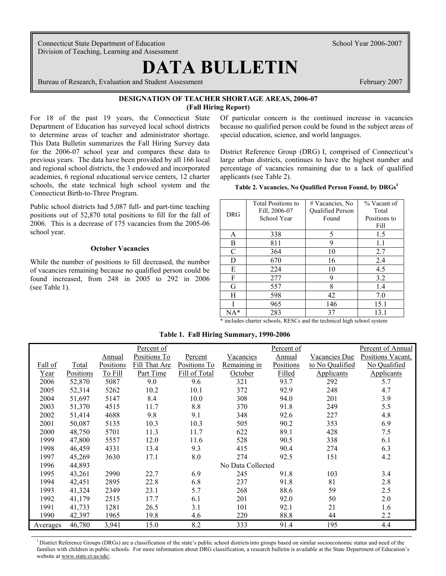Connecticut State Department of Education School Year 2006-2007 Division of Teaching, Learning and Assessment

 $\overline{\phantom{a}}$ 

# **DATA BULLETIN**

Bureau of Research, Evaluation and Student Assessment February 2007

# **DESIGNATION OF TEACHER SHORTAGE AREAS, 2006-07 (Fall Hiring Report)**

For 18 of the past 19 years, the Connecticut State Department of Education has surveyed local school districts to determine areas of teacher and administrator shortage. This Data Bulletin summarizes the Fall Hiring Survey data for the 2006-07 school year and compares these data to previous years. The data have been provided by all 166 local and regional school districts, the 3 endowed and incorporated academies, 6 regional educational service centers, 12 charter schools, the state technical high school system and the Connecticut Birth-to-Three Program.

Public school districts had 5,087 full- and part-time teaching positions out of 52,870 total positions to fill for the fall of 2006. This is a decrease of 175 vacancies from the 2005-06 school year.

## **October Vacancies**

While the number of positions to fill decreased, the number of vacancies remaining because no qualified person could be found increased, from 248 in 2005 to 292 in 2006 (see Table 1).

Of particular concern is the continued increase in vacancies because no qualified person could be found in the subject areas of special education, science, and world languages.

District Reference Group (DRG) I, comprised of Connecticut's large urban districts, continues to have the highest number and percentage of vacancies remaining due to a lack of qualified applicants (see Table 2).

| Table 2. Vacancies, No Qualified Person Found, by DRGs1 |  |  |  |
|---------------------------------------------------------|--|--|--|
|                                                         |  |  |  |

| DRG | <b>Total Positions to</b><br>Fill, 2006-07<br>School Year | # Vacancies, No<br><b>Oualified Person</b><br>Found | % Vacant of<br>Total<br>Positions to<br>Fill |
|-----|-----------------------------------------------------------|-----------------------------------------------------|----------------------------------------------|
| A   | 338                                                       | 5                                                   | 1.5                                          |
| B   | 811                                                       | 9                                                   | 1.1                                          |
| C   | 364                                                       | 10                                                  | 2.7                                          |
| D   | 670                                                       | 16                                                  | 2.4                                          |
| E   | 224                                                       | 10                                                  | 4.5                                          |
| F   | 277                                                       | 9                                                   | 3.2                                          |
| G   | 557                                                       | 8                                                   | 1.4                                          |
| H   | 598                                                       | 42                                                  | 7.0                                          |
|     | 965                                                       | 146                                                 | 15.1                                         |
| NA* | 283                                                       | 37                                                  | 13.1                                         |

\* includes charter schools, RESCs and the technical high school system

|          |           |           | Percent of    |               |                   | Percent of    |                 | Percent of Annual |
|----------|-----------|-----------|---------------|---------------|-------------------|---------------|-----------------|-------------------|
|          |           | Annual    | Positions To  | Percent       | <u>Vacancies</u>  | <b>Annual</b> | Vacancies Due   | Positions Vacant. |
| Fall of  | Total     | Positions | Fill That Are | Positions To  | Remaining in      | Positions     | to No Qualified | No Qualified      |
| Year     | Positions | To Fill   | Part Time     | Fill of Total | October           | Filled        | Applicants      | Applicants        |
| 2006     | 52,870    | 5087      | 9.0           | 9.6           | 321               | 93.7          | 292             | 5.7               |
| 2005     | 52,314    | 5262      | 10.2          | 10.1          | 372               | 92.9          | 248             | 4.7               |
| 2004     | 51,697    | 5147      | 8.4           | 10.0          | 308               | 94.0          | 201             | 3.9               |
| 2003     | 51,370    | 4515      | 11.7          | 8.8           | 370               | 91.8          | 249             | 5.5               |
| 2002     | 51,414    | 4688      | 9.8           | 9.1           | 348               | 92.6          | 227             | 4.8               |
| 2001     | 50,087    | 5135      | 10.3          | 10.3          | 505               | 90.2          | 353             | 6.9               |
| 2000     | 48,750    | 5701      | 11.3          | 11.7          | 622               | 89.1          | 428             | 7.5               |
| 1999     | 47,800    | 5557      | 12.0          | 11.6          | 528               | 90.5          | 338             | 6.1               |
| 1998     | 46,459    | 4331      | 13.4          | 9.3           | 415               | 90.4          | 274             | 6.3               |
| 1997     | 45,269    | 3630      | 17.1          | 8.0           | 274               | 92.5          | 151             | 4.2               |
| 1996     | 44,893    |           |               |               | No Data Collected |               |                 |                   |
| 1995     | 43,261    | 2990      | 22.7          | 6.9           | 245               | 91.8          | 103             | 3.4               |
| 1994     | 42,451    | 2895      | 22.8          | 6.8           | 237               | 91.8          | 81              | 2.8               |
| 1993     | 41,324    | 2349      | 23.1          | 5.7           | 268               | 88.6          | 59              | 2.5               |
| 1992     | 41,179    | 2515      | 17.7          | 6.1           | 201               | 92.0          | 50              | 2.0               |
| 1991     | 41,733    | 1281      | 26.5          | 3.1           | 101               | 92.1          | 21              | 1.6               |
| 1990     | 42,397    | 1965      | 19.8          | 4.6           | 220               | 88.8          | 44              | 2.2               |
| Averages | 46,780    | 3,941     | 15.0          | 8.2           | 333               | 91.4          | 195             | 4.4               |

**Table 1. Fall Hiring Summary, 1990-2006** 

<sup>1</sup> District Reference Groups (DRGs) are a classification of the state's public school districts into groups based on similar socioeconomic status and need of the families with children in public schools. For more information about DRG classification, a research bulletin is available at the State Department of Education's website at www.state.ct.us/sde/.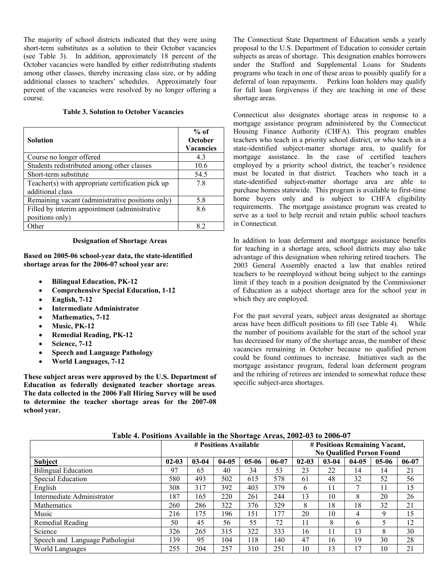The majority of school districts indicated that they were using short-term substitutes as a solution to their October vacancies (see Table 3). In addition, approximately 18 percent of the October vacancies were handled by either redistributing students among other classes, thereby increasing class size, or by adding additional classes to teachers' schedules. Approximately four percent of the vacancies were resolved by no longer offering a course.

## **Table 3. Solution to October Vacancies**

| Solution                                                              | $%$ of<br>October<br><b>Vacancies</b> |
|-----------------------------------------------------------------------|---------------------------------------|
| Course no longer offered                                              | 4.3                                   |
| Students redistributed among other classes                            | 10.6                                  |
| Short-term substitute                                                 | 54.5                                  |
| Teacher(s) with appropriate certification pick up<br>additional class | 7.8                                   |
| Remaining vacant (administrative positions only)                      | 5.8                                   |
| Filled by interim appointment (administrative                         | 8.6                                   |
| positions only)                                                       |                                       |
| <b>Other</b>                                                          | 89                                    |

#### **Designation of Shortage Areas**

**Based on 2005-06 school-year data, the state-identified shortage areas for the 2006-07 school year are:** 

- **Bilingual Education, PK-12**
- **Comprehensive Special Education, 1-12**
- **English, 7-12**
- **Intermediate Administrator**
- **Mathematics, 7-12**
- **Music, PK-12**
- **Remedial Reading, PK-12**
- **Science, 7-12**
- **Speech and Language Pathology**
- **World Languages, 7-12**

**These subject areas were approved by the U.S. Department of Education as federally designated teacher shortage areas**. **The data collected in the 2006 Fall Hiring Survey will be used to determine the teacher shortage areas for the 2007-08 school year.**

The Connecticut State Department of Education sends a yearly proposal to the U.S. Department of Education to consider certain subjects as areas of shortage. This designation enables borrowers under the Stafford and Supplemental Loans for Students programs who teach in one of these areas to possibly qualify for a deferral of loan repayments. Perkins loan holders may qualify for full loan forgiveness if they are teaching in one of these shortage areas.

Connecticut also designates shortage areas in response to a mortgage assistance program administered by the Connecticut Housing Finance Authority (CHFA). This program enables teachers who teach in a priority school district, or who teach in a state-identified subject-matter shortage area, to qualify for mortgage assistance. In the case of certified teachers employed by a priority school district, the teacher's residence must be located in that district. Teachers who teach in a state-identified subject-matter shortage area are able to purchase homes statewide. This program is available to first-time home buyers only and is subject to CHFA eligibility requirements. The mortgage assistance program was created to serve as a tool to help recruit and retain public school teachers in Connecticut.

In addition to loan deferment and mortgage assistance benefits for teaching in a shortage area, school districts may also take advantage of this designation when rehiring retired teachers. The 2003 General Assembly enacted a law that enables retired teachers to be reemployed without being subject to the earnings limit if they teach in a position designated by the Commissioner of Education as a subject shortage area for the school year in which they are employed.

For the past several years, subject areas designated as shortage areas have been difficult positions to fill (see Table 4). While the number of positions available for the start of the school year has decreased for many of the shortage areas, the number of these vacancies remaining in October because no qualified person could be found continues to increase. Initiatives such as the mortgage assistance program, federal loan deferment program and the rehiring of retirees are intended to somewhat reduce these specific subject-area shortages.

| THERE IS TO DESCRIPTION TO THE VIOLENCE OF THE VALUE OF THE VEHICLE OF THE VALUE OF $\sim$ |                       |           |         |         |           |                                  |           |           |         |           |  |
|--------------------------------------------------------------------------------------------|-----------------------|-----------|---------|---------|-----------|----------------------------------|-----------|-----------|---------|-----------|--|
|                                                                                            | # Positions Available |           |         |         |           | # Positions Remaining Vacant,    |           |           |         |           |  |
|                                                                                            |                       |           |         |         |           | <b>No Qualified Person Found</b> |           |           |         |           |  |
| <b>Subject</b>                                                                             | $02 - 03$             | $03 - 04$ | $04-05$ | $05-06$ | $06 - 07$ | $02 - 03$                        | $03 - 04$ | $04 - 05$ | $05-06$ | $06 - 07$ |  |
| <b>Bilingual Education</b>                                                                 | 97                    | 65        | 40      | 34      | 53        | 23                               | 22        | 14        | 14      | 21        |  |
| Special Education                                                                          | 580                   | 493       | 502     | 615     | 578       | 61                               | 48        | 32        | 52      | 56        |  |
| English                                                                                    | 308                   | 317       | 392     | 403     | 379       | 6                                | 11        |           | 11      | 15        |  |
| Intermediate Administrator                                                                 | 187                   | 165       | 220     | 261     | 244       | 13                               | 10        | 8         | 20      | 26        |  |
| <b>Mathematics</b>                                                                         | 260                   | 286       | 322     | 376     | 329       | 8                                | 18        | 18        | 32      | 21        |  |
| Music                                                                                      | 216                   | 175       | 196     | 151     | 77ء       | 20                               | 10        | 4         | 9       | 15        |  |
| Remedial Reading                                                                           | 50                    | 45        | 56      | 55      | 72        | 11                               | 8         | 6         |         | 12        |  |
| Science                                                                                    | 326                   | 265       | 315     | 322     | 333       | 16                               | 11        | 13        | 8       | 30        |  |
| Speech and Language Pathologist                                                            | 139                   | 95        | 104     | 118     | 140       | 47                               | 16        | 19        | 30      | 28        |  |
| World Languages                                                                            | 255                   | 204       | 257     | 310     | 251       | 10                               | 13        | 17        | 10      | 21        |  |

**Table 4. Positions Available in the Shortage Areas, 2002-03 to 2006-07**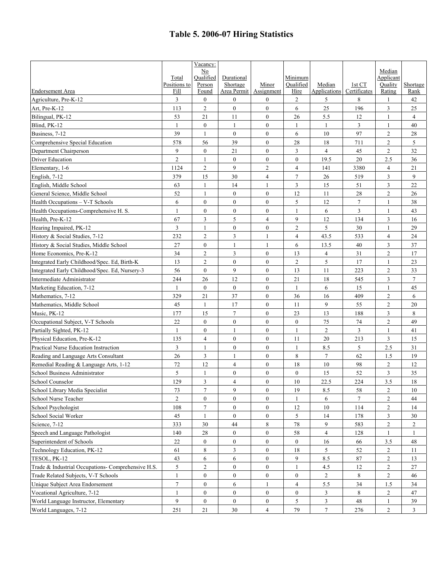# **Table 5. 2006-07 Hiring Statistics**

|                                                    |                      | Vacancy:                |                         |                     |                   |                        |                        |                   |                  |
|----------------------------------------------------|----------------------|-------------------------|-------------------------|---------------------|-------------------|------------------------|------------------------|-------------------|------------------|
|                                                    |                      | No                      |                         |                     |                   |                        |                        | Median            |                  |
|                                                    | Total                | Oualified               | Durational              |                     | Minimum           |                        |                        | Applicant         |                  |
| <b>Endorsement Area</b>                            | Positions to<br>Fill | Person<br>Found         | Shortage<br>Area Permit | Minor<br>Assignment | Oualified<br>Hire | Median<br>Applications | 1st CT<br>Certificates | Ouality<br>Rating | Shortage<br>Rank |
| Agriculture, Pre-K-12                              | 3                    | $\overline{0}$          | $\boldsymbol{0}$        | $\overline{0}$      | $\overline{2}$    | 5                      | 8                      | 1                 | 42               |
| Art, Pre-K-12                                      | 113                  | $\overline{2}$          | $\overline{0}$          | $\mathbf{0}$        | 6                 | 25                     | 196                    | 3                 | 25               |
| Bilingual, PK-12                                   | 53                   | 21                      | 11                      | $\overline{0}$      | 26                | 5.5                    | 12                     | 1                 | $\overline{4}$   |
|                                                    | $\overline{1}$       | $\overline{0}$          | $\mathbf{1}$            | $\overline{0}$      | $\mathbf{1}$      | $\mathbf{1}$           | 3                      | $\mathbf{1}$      | 40               |
| Blind, PK-12                                       | 39                   | $\mathbf{1}$            | $\overline{0}$          | $\theta$            | 6                 | 10                     | 97                     | $\overline{2}$    |                  |
| Business, 7-12                                     |                      |                         |                         |                     |                   |                        |                        |                   | $28\,$           |
| Comprehensive Special Education                    | 578                  | 56                      | 39                      | $\theta$            | 28                | 18                     | 711                    | $\overline{2}$    | 5                |
| Department Chairperson                             | $\mathbf{Q}$         | $\overline{0}$          | 21                      | $\overline{0}$      | 3                 | $\overline{4}$         | 45                     | $\overline{c}$    | 32               |
| Driver Education                                   | $\overline{2}$       | 1                       | $\boldsymbol{0}$        | $\mathbf{0}$        | $\mathbf{0}$      | 19.5                   | 20                     | 2.5               | 36               |
| Elementary, 1-6                                    | 1124                 | $\overline{2}$          | 9                       | $\overline{2}$      | $\overline{4}$    | 141                    | 3380                   | $\overline{4}$    | 21               |
| English, 7-12                                      | 379                  | 15                      | 30                      | $\overline{4}$      | $\tau$            | 26                     | 519                    | 3                 | 9                |
| English, Middle School                             | 63                   | $\mathbf{1}$            | 14                      | 1                   | 3                 | 15                     | 51                     | 3                 | 22               |
| General Science, Middle School                     | 52                   | $\mathbf{1}$            | $\boldsymbol{0}$        | $\mathbf{0}$        | 12                | 11                     | $28\,$                 | $\mathfrak{2}$    | $26\,$           |
| Health Occupations - V-T Schools                   | 6                    | $\mathbf{0}$            | $\boldsymbol{0}$        | $\overline{0}$      | 5                 | 12                     | $\tau$                 | 1                 | 38               |
| Health Occupations-Comprehensive H. S.             | $\mathbf{1}$         | $\overline{0}$          | $\boldsymbol{0}$        | $\mathbf{0}$        | 1                 | 6                      | 3                      | -1                | 43               |
| Health, Pre-K-12                                   | 67                   | 3                       | 5                       | $\overline{4}$      | 9                 | 12                     | 134                    | 3                 | 16               |
| Hearing Impaired, PK-12                            | 3                    | 1                       | $\boldsymbol{0}$        | $\mathbf{0}$        | $\sqrt{2}$        | 5                      | 30                     | $\mathbf{1}$      | 29               |
| History & Social Studies, 7-12                     | 232                  | 2                       | 3                       | $\mathbf{1}$        | $\overline{4}$    | 43.5                   | 533                    | $\overline{4}$    | 24               |
| History & Social Studies, Middle School            | 27                   | $\overline{0}$          | $\mathbf{1}$            | 1                   | 6                 | 13.5                   | 40                     | 3                 | 37               |
| Home Economics, Pre-K-12                           | 34                   | $\overline{c}$          | 3                       | $\mathbf{0}$        | 13                | 4                      | 31                     | $\mathfrak{2}$    | 17               |
| Integrated Early Childhood/Spec. Ed. Birth-K       | 13                   | $\overline{\mathbf{c}}$ | $\boldsymbol{0}$        | $\overline{0}$      | $\mathbf{2}$      | 5                      | 17                     | $\mathbf{1}$      | 23               |
| Integrated Early Childhood/Spec. Ed, Nursery-3     | 56                   | $\overline{0}$          | 9                       | $\overline{0}$      | 13                | 11                     | 223                    | $\overline{c}$    | 33               |
| Intermediate Administrator                         | 244                  | 26                      | 12                      | $\overline{0}$      | 21                | 18                     | 545                    | 3                 | 7                |
| Marketing Education, 7-12                          | $\mathbf{1}$         | $\overline{0}$          | $\overline{0}$          | $\overline{0}$      | $\mathbf{1}$      | 6                      | 15                     | $\mathbf{1}$      | 45               |
| Mathematics, 7-12                                  | 329                  | 21                      | 37                      | $\Omega$            | 36                | 16                     | 409                    | $\overline{c}$    | 6                |
| Mathematics, Middle School                         | 45                   | 1                       | 17                      | $\overline{0}$      | 11                | 9                      | 55                     | $\overline{2}$    | 20               |
| Music, PK-12                                       | 177                  | 15                      | $\tau$                  | $\overline{0}$      | 23                | 13                     | 188                    | 3                 | 8                |
| Occupational Subject, V-T Schools                  | 22                   | $\overline{0}$          | $\mathbf{0}$            | $\mathbf{0}$        | $\overline{0}$    | 75                     | 74                     | $\overline{2}$    | 49               |
| Partially Sighted, PK-12                           | $\mathbf{1}$         | $\boldsymbol{0}$        | 1                       | $\overline{0}$      | $\mathbf{1}$      | $\overline{c}$         | 3                      | $\mathbf{1}$      | 41               |
| Physical Education, Pre-K-12                       | 135                  | $\overline{4}$          | $\mathbf{0}$            | $\theta$            | 11                | 20                     | 213                    | 3                 | 15               |
| Practical Nurse Education Instruction              | 3                    | 1                       | $\overline{0}$          | $\overline{0}$      | $\mathbf{1}$      | 8.5                    | 5                      | 2.5               | 31               |
| Reading and Language Arts Consultant               | 26                   | 3                       | 1                       | $\mathbf{0}$        | 8                 | 7                      | 62                     | 1.5               | 19               |
| Remedial Reading & Language Arts, 1-12             | 72                   | 12                      | $\overline{4}$          | $\mathbf{0}$        | 18                | 10                     | 98                     | $\sqrt{2}$        | 12               |
| School Business Administrator                      | 5                    | 1                       | $\boldsymbol{0}$        | $\mathbf{0}$        | $\boldsymbol{0}$  | 15                     | 52                     | 3                 | 35               |
| School Counselor                                   | 129                  | 3                       | 4                       | $\overline{0}$      | 10                | 22.5                   | 224                    | 3.5               | 18               |
| School Library Media Specialist                    | 73                   | 7                       | 9                       | $\bf{0}$            | 19                | 8.5                    | 58                     | $\overline{c}$    | 10               |
| School Nurse Teacher                               | $\overline{2}$       | $\overline{0}$          | $\overline{0}$          | $\overline{0}$      | $\mathbf{1}$      | 6                      | $\overline{7}$         | $\overline{c}$    | 44               |
| School Psychologist                                | 108                  | 7                       | $\boldsymbol{0}$        | $\mathbf{0}$        | 12                | 10                     | 114                    | $\overline{c}$    | 14               |
| School Social Worker                               | 45                   | 1                       | $\boldsymbol{0}$        | $\mathbf{0}$        | 5                 | 14                     | 178                    | 3                 | 30               |
| Science, 7-12                                      | 333                  | 30                      | 44                      | 8                   | $78\,$            | 9                      | 583                    | $\overline{c}$    | $\overline{c}$   |
| Speech and Language Pathologist                    | 140                  | 28                      | $\boldsymbol{0}$        | $\mathbf{0}$        |                   | 4                      |                        | 1                 | 1                |
|                                                    |                      |                         |                         |                     | 58                |                        | 128                    |                   |                  |
| Superintendent of Schools                          | 22                   | $\boldsymbol{0}$        | $\boldsymbol{0}$        | $\boldsymbol{0}$    | $\boldsymbol{0}$  | 16                     | 66                     | 3.5               | 48               |
| Technology Education, PK-12                        | 61                   | 8                       | 3                       | $\overline{0}$      | 18                | 5                      | 52                     | $\overline{c}$    | 11               |
| TESOL, PK-12                                       | 43                   | 6                       | 6                       | $\mathbf{0}$        | 9                 | 8.5                    | 87                     | $\overline{c}$    | 13               |
| Trade & Industrial Occupations- Comprehensive H.S. | 5                    | $\overline{c}$          | $\boldsymbol{0}$        | $\boldsymbol{0}$    | 1                 | 4.5                    | 12                     | 2                 | 27               |
| Trade Related Subjects, V-T Schools                | 1                    | $\mathbf{0}$            | 0                       | $\mathbf{0}$        | $\boldsymbol{0}$  | $\overline{c}$         | 8                      | 2                 | 46               |
| Unique Subject Area Endorsement                    | $\overline{7}$       | $\boldsymbol{0}$        | 6                       |                     | 4                 | 5.5                    | 34                     | 1.5               | 34               |
| Vocational Agriculture, 7-12                       | 1                    | $\boldsymbol{0}$        | $\boldsymbol{0}$        | $\boldsymbol{0}$    | $\boldsymbol{0}$  | 3                      | 8                      | 2                 | 47               |
| World Language Instructor, Elementary              | 9                    | $\overline{0}$          | $\boldsymbol{0}$        | $\mathbf{0}$        | 5                 | $\mathfrak{Z}$         | 48                     | -1                | 39               |
| World Languages, 7-12                              | 251                  | 21                      | 30                      | $\overline{4}$      | 79                | 7                      | 276                    | $\overline{c}$    | 3                |